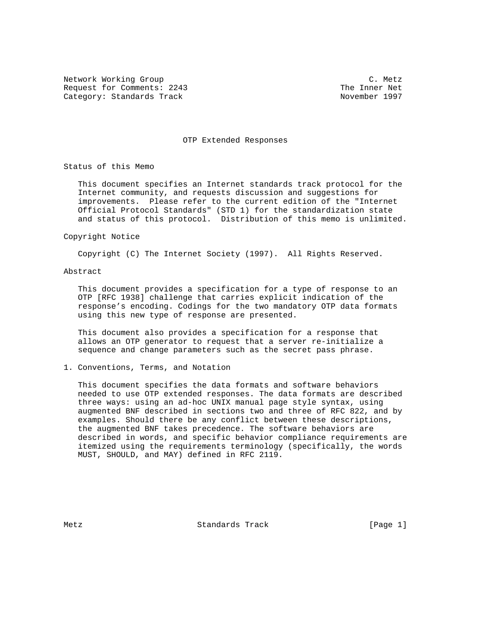Network Working Group Communications and the C. Metz Request for Comments: 2243 The Inner Net Category: Standards Track November 1997

### OTP Extended Responses

Status of this Memo

 This document specifies an Internet standards track protocol for the Internet community, and requests discussion and suggestions for improvements. Please refer to the current edition of the "Internet Official Protocol Standards" (STD 1) for the standardization state and status of this protocol. Distribution of this memo is unlimited.

Copyright Notice

Copyright (C) The Internet Society (1997). All Rights Reserved.

## Abstract

 This document provides a specification for a type of response to an OTP [RFC 1938] challenge that carries explicit indication of the response's encoding. Codings for the two mandatory OTP data formats using this new type of response are presented.

 This document also provides a specification for a response that allows an OTP generator to request that a server re-initialize a sequence and change parameters such as the secret pass phrase.

1. Conventions, Terms, and Notation

 This document specifies the data formats and software behaviors needed to use OTP extended responses. The data formats are described three ways: using an ad-hoc UNIX manual page style syntax, using augmented BNF described in sections two and three of RFC 822, and by examples. Should there be any conflict between these descriptions, the augmented BNF takes precedence. The software behaviors are described in words, and specific behavior compliance requirements are itemized using the requirements terminology (specifically, the words MUST, SHOULD, and MAY) defined in RFC 2119.

Metz **Standards Track** [Page 1]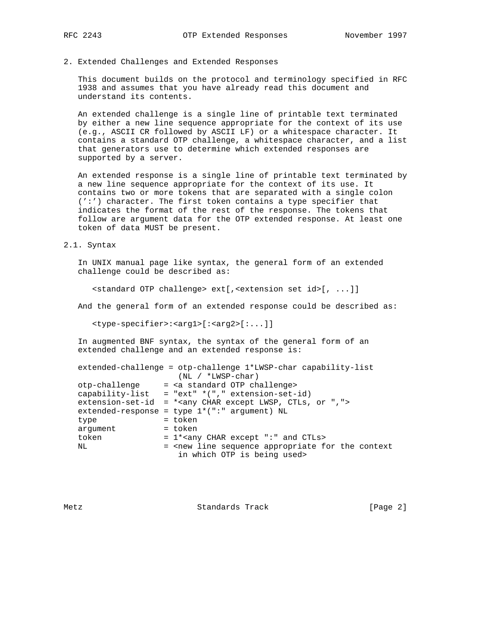# 2. Extended Challenges and Extended Responses

 This document builds on the protocol and terminology specified in RFC 1938 and assumes that you have already read this document and understand its contents.

 An extended challenge is a single line of printable text terminated by either a new line sequence appropriate for the context of its use (e.g., ASCII CR followed by ASCII LF) or a whitespace character. It contains a standard OTP challenge, a whitespace character, and a list that generators use to determine which extended responses are supported by a server.

 An extended response is a single line of printable text terminated by a new line sequence appropriate for the context of its use. It contains two or more tokens that are separated with a single colon (':') character. The first token contains a type specifier that indicates the format of the rest of the response. The tokens that follow are argument data for the OTP extended response. At least one token of data MUST be present.

### 2.1. Syntax

 In UNIX manual page like syntax, the general form of an extended challenge could be described as:

<standard OTP challenge> ext[,<extension set id>[, ...]]

And the general form of an extended response could be described as:

<type-specifier>:<arg1>[:<arg2>[:...]]

 In augmented BNF syntax, the syntax of the general form of an extended challenge and an extended response is:

|               | extended-challenge = otp-challenge 1*LWSP-char capability-list                        |
|---------------|---------------------------------------------------------------------------------------|
|               | $(NL / *LWSP-char)$                                                                   |
| otp-challenge | = <a challenge="" otp="" standard=""></a>                                             |
|               | capability-list = "ext" $*(", " extension-set-id)$                                    |
|               | extension-set-id = * <any "="" ",="" char="" ctls,="" except="" lwsp,="" or=""></any> |
|               | extended-response = type $1*(";" argument) NL$                                        |
| type          | = token                                                                               |
| arqument      | = token                                                                               |
| token         | $= 1*any$ CHAR except ":" and CTLs>                                                   |
| NL            | = <new appropriate="" context<="" for="" line="" sequence="" th="" the=""></new>      |
|               | in which OTP is being used>                                                           |

Metz **Standards Track** [Page 2]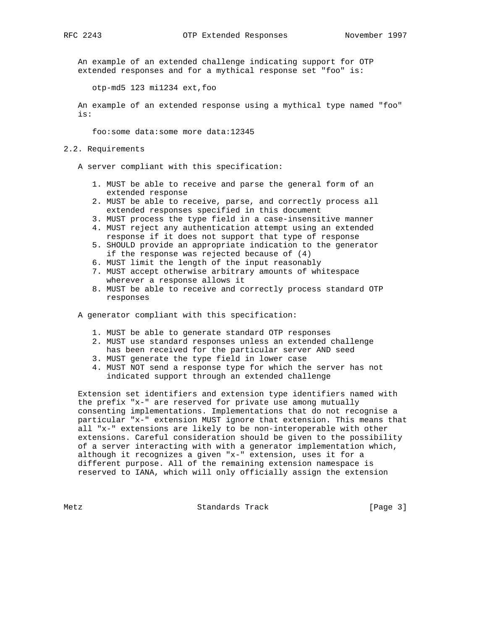An example of an extended challenge indicating support for OTP extended responses and for a mythical response set "foo" is:

otp-md5 123 mi1234 ext,foo

 An example of an extended response using a mythical type named "foo" is:

foo:some data:some more data:12345

- 2.2. Requirements
	- A server compliant with this specification:
		- 1. MUST be able to receive and parse the general form of an extended response
		- 2. MUST be able to receive, parse, and correctly process all extended responses specified in this document
		- 3. MUST process the type field in a case-insensitive manner
		- 4. MUST reject any authentication attempt using an extended response if it does not support that type of response
		- 5. SHOULD provide an appropriate indication to the generator if the response was rejected because of (4)
		- 6. MUST limit the length of the input reasonably
		- 7. MUST accept otherwise arbitrary amounts of whitespace wherever a response allows it
		- 8. MUST be able to receive and correctly process standard OTP responses

A generator compliant with this specification:

- 1. MUST be able to generate standard OTP responses
- 2. MUST use standard responses unless an extended challenge has been received for the particular server AND seed
- 3. MUST generate the type field in lower case
- 4. MUST NOT send a response type for which the server has not indicated support through an extended challenge

 Extension set identifiers and extension type identifiers named with the prefix "x-" are reserved for private use among mutually consenting implementations. Implementations that do not recognise a particular "x-" extension MUST ignore that extension. This means that all "x-" extensions are likely to be non-interoperable with other extensions. Careful consideration should be given to the possibility of a server interacting with with a generator implementation which, although it recognizes a given "x-" extension, uses it for a different purpose. All of the remaining extension namespace is reserved to IANA, which will only officially assign the extension

Metz Standards Track [Page 3]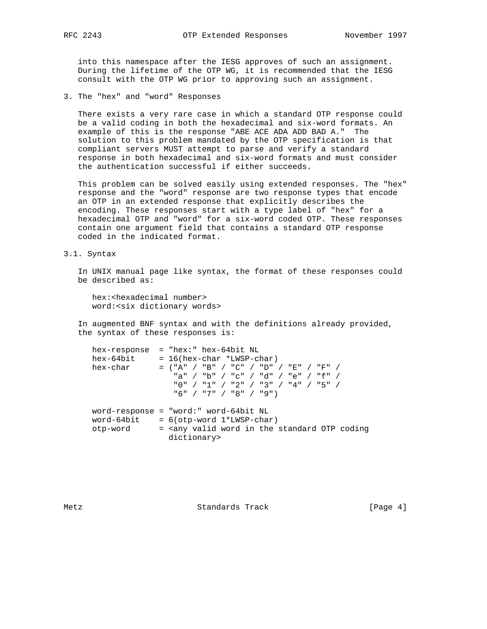into this namespace after the IESG approves of such an assignment. During the lifetime of the OTP WG, it is recommended that the IESG consult with the OTP WG prior to approving such an assignment.

3. The "hex" and "word" Responses

 There exists a very rare case in which a standard OTP response could be a valid coding in both the hexadecimal and six-word formats. An example of this is the response "ABE ACE ADA ADD BAD A." The solution to this problem mandated by the OTP specification is that compliant servers MUST attempt to parse and verify a standard response in both hexadecimal and six-word formats and must consider the authentication successful if either succeeds.

 This problem can be solved easily using extended responses. The "hex" response and the "word" response are two response types that encode an OTP in an extended response that explicitly describes the encoding. These responses start with a type label of "hex" for a hexadecimal OTP and "word" for a six-word coded OTP. These responses contain one argument field that contains a standard OTP response coded in the indicated format.

3.1. Syntax

 In UNIX manual page like syntax, the format of these responses could be described as:

 hex:<hexadecimal number> word:<six dictionary words>

 In augmented BNF syntax and with the definitions already provided, the syntax of these responses is:

|            | hex-response = "hex:" hex-64bit NL    |                             |                                          |                                                                                 |
|------------|---------------------------------------|-----------------------------|------------------------------------------|---------------------------------------------------------------------------------|
| hex-64bit  |                                       | $= 16(hex-char *LWSP-char)$ |                                          |                                                                                 |
| hex-char   |                                       |                             | $=$ ("A" / "B" / "C" / "D" / "E" / "F" / |                                                                                 |
|            |                                       |                             | "a" / "b" / "c" / "d" / "e" / "f" /      |                                                                                 |
|            |                                       |                             | "0" / "1" / "2" / "3" / "4" / "5" /      |                                                                                 |
|            |                                       | "6" / "7" / "8" / "9")      |                                          |                                                                                 |
|            | word-response = "word:" word-64bit NL |                             |                                          |                                                                                 |
|            |                                       |                             |                                          |                                                                                 |
| word-64bit |                                       | $= 6(otp-word 1*LWSP-char)$ |                                          |                                                                                 |
| otp-word   |                                       |                             |                                          | = <any coding<="" in="" otp="" standard="" td="" the="" valid="" word=""></any> |
|            | dictionary>                           |                             |                                          |                                                                                 |

Metz **Standards Track** [Page 4]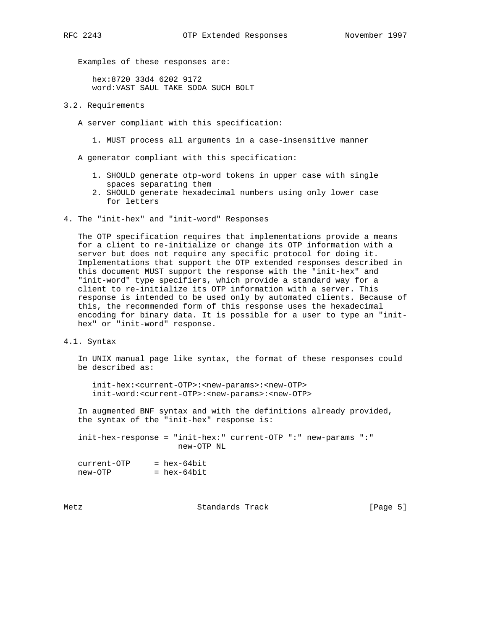Examples of these responses are:

 hex:8720 33d4 6202 9172 word:VAST SAUL TAKE SODA SUCH BOLT

## 3.2. Requirements

- A server compliant with this specification:
	- 1. MUST process all arguments in a case-insensitive manner

A generator compliant with this specification:

- 1. SHOULD generate otp-word tokens in upper case with single spaces separating them
- 2. SHOULD generate hexadecimal numbers using only lower case for letters
- 4. The "init-hex" and "init-word" Responses

 The OTP specification requires that implementations provide a means for a client to re-initialize or change its OTP information with a server but does not require any specific protocol for doing it. Implementations that support the OTP extended responses described in this document MUST support the response with the "init-hex" and "init-word" type specifiers, which provide a standard way for a client to re-initialize its OTP information with a server. This response is intended to be used only by automated clients. Because of this, the recommended form of this response uses the hexadecimal encoding for binary data. It is possible for a user to type an "init hex" or "init-word" response.

4.1. Syntax

 In UNIX manual page like syntax, the format of these responses could be described as:

 init-hex:<current-OTP>:<new-params>:<new-OTP> init-word:<current-OTP>:<new-params>:<new-OTP>

 In augmented BNF syntax and with the definitions already provided, the syntax of the "init-hex" response is:

 init-hex-response = "init-hex:" current-OTP ":" new-params ":" new-OTP NL

| current-OTP | $=$ hex-64bit |
|-------------|---------------|
| new-OTP     | $=$ hex-64bit |

Metz **Standards Track** [Page 5]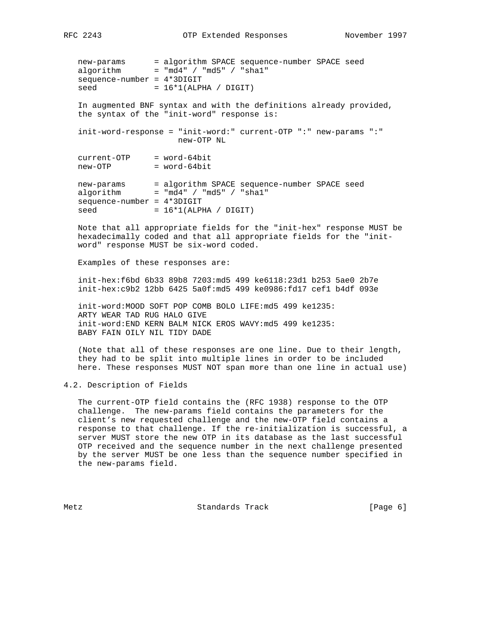new-params = algorithm SPACE sequence-number SPACE seed algorithm = "md4" / "md5" / "sha1" sequence-number = 4\*3DIGIT  $seed = 16*1(ALPHA / DIGIT)$ 

 In augmented BNF syntax and with the definitions already provided, the syntax of the "init-word" response is:

 init-word-response = "init-word:" current-OTP ":" new-params ":" new-OTP NL

 current-OTP = word-64bit new-OTP = word-64bit

 new-params = algorithm SPACE sequence-number SPACE seed algorithm = "md4" / "md5" / "sha1" sequence-number = 4\*3DIGIT  $seed = 16*1(ALPHA / DIGIT)$ 

 Note that all appropriate fields for the "init-hex" response MUST be hexadecimally coded and that all appropriate fields for the "init word" response MUST be six-word coded.

Examples of these responses are:

 init-hex:f6bd 6b33 89b8 7203:md5 499 ke6118:23d1 b253 5ae0 2b7e init-hex:c9b2 12bb 6425 5a0f:md5 499 ke0986:fd17 cef1 b4df 093e

 init-word:MOOD SOFT POP COMB BOLO LIFE:md5 499 ke1235: ARTY WEAR TAD RUG HALO GIVE init-word:END KERN BALM NICK EROS WAVY:md5 499 ke1235: BABY FAIN OILY NIL TIDY DADE

 (Note that all of these responses are one line. Due to their length, they had to be split into multiple lines in order to be included here. These responses MUST NOT span more than one line in actual use)

4.2. Description of Fields

 The current-OTP field contains the (RFC 1938) response to the OTP challenge. The new-params field contains the parameters for the client's new requested challenge and the new-OTP field contains a response to that challenge. If the re-initialization is successful, a server MUST store the new OTP in its database as the last successful OTP received and the sequence number in the next challenge presented by the server MUST be one less than the sequence number specified in the new-params field.

Metz Standards Track [Page 6]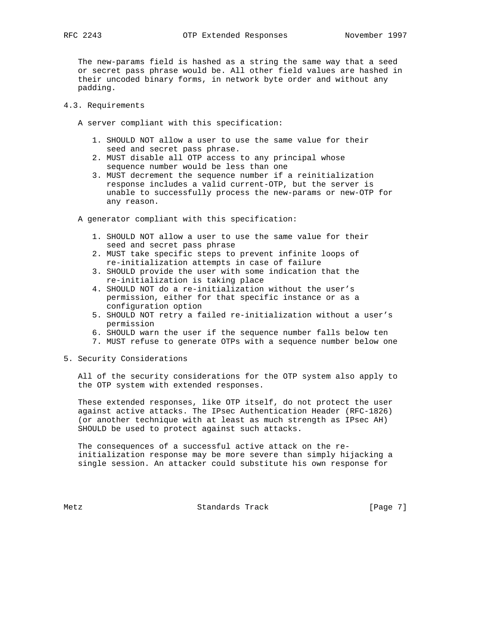The new-params field is hashed as a string the same way that a seed or secret pass phrase would be. All other field values are hashed in their uncoded binary forms, in network byte order and without any padding.

- 4.3. Requirements
	- A server compliant with this specification:
		- 1. SHOULD NOT allow a user to use the same value for their seed and secret pass phrase.
		- 2. MUST disable all OTP access to any principal whose sequence number would be less than one
		- 3. MUST decrement the sequence number if a reinitialization response includes a valid current-OTP, but the server is unable to successfully process the new-params or new-OTP for any reason.

A generator compliant with this specification:

- 1. SHOULD NOT allow a user to use the same value for their seed and secret pass phrase
- 2. MUST take specific steps to prevent infinite loops of re-initialization attempts in case of failure
- 3. SHOULD provide the user with some indication that the re-initialization is taking place
- 4. SHOULD NOT do a re-initialization without the user's permission, either for that specific instance or as a configuration option
- 5. SHOULD NOT retry a failed re-initialization without a user's permission
- 6. SHOULD warn the user if the sequence number falls below ten
- 7. MUST refuse to generate OTPs with a sequence number below one
- 5. Security Considerations

 All of the security considerations for the OTP system also apply to the OTP system with extended responses.

 These extended responses, like OTP itself, do not protect the user against active attacks. The IPsec Authentication Header (RFC-1826) (or another technique with at least as much strength as IPsec AH) SHOULD be used to protect against such attacks.

 The consequences of a successful active attack on the re initialization response may be more severe than simply hijacking a single session. An attacker could substitute his own response for

Metz **Standards Track** [Page 7]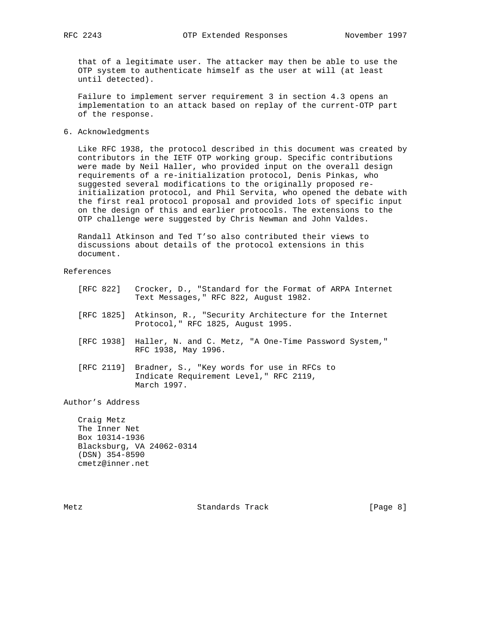that of a legitimate user. The attacker may then be able to use the OTP system to authenticate himself as the user at will (at least until detected).

 Failure to implement server requirement 3 in section 4.3 opens an implementation to an attack based on replay of the current-OTP part of the response.

6. Acknowledgments

 Like RFC 1938, the protocol described in this document was created by contributors in the IETF OTP working group. Specific contributions were made by Neil Haller, who provided input on the overall design requirements of a re-initialization protocol, Denis Pinkas, who suggested several modifications to the originally proposed re initialization protocol, and Phil Servita, who opened the debate with the first real protocol proposal and provided lots of specific input on the design of this and earlier protocols. The extensions to the OTP challenge were suggested by Chris Newman and John Valdes.

 Randall Atkinson and Ted T'so also contributed their views to discussions about details of the protocol extensions in this document.

References

 [RFC 822] Crocker, D., "Standard for the Format of ARPA Internet Text Messages," RFC 822, August 1982. [RFC 1825] Atkinson, R., "Security Architecture for the Internet Protocol," RFC 1825, August 1995. [RFC 1938] Haller, N. and C. Metz, "A One-Time Password System," RFC 1938, May 1996. [RFC 2119] Bradner, S., "Key words for use in RFCs to Indicate Requirement Level," RFC 2119, March 1997. Author's Address Craig Metz

 The Inner Net Box 10314-1936 Blacksburg, VA 24062-0314 (DSN) 354-8590 cmetz@inner.net

Metz **Standards Track** [Page 8]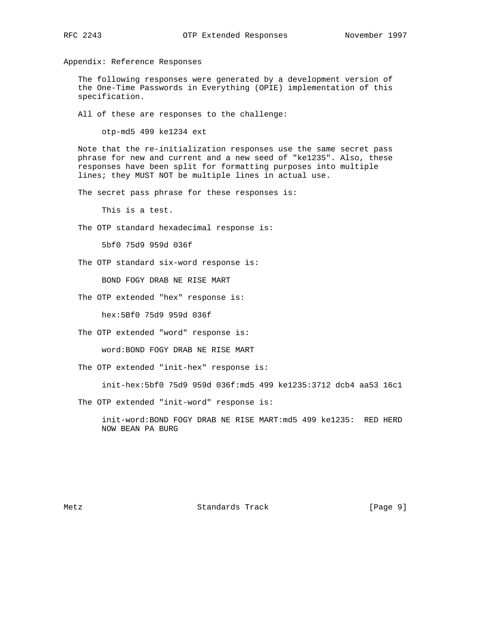Appendix: Reference Responses

 The following responses were generated by a development version of the One-Time Passwords in Everything (OPIE) implementation of this specification.

All of these are responses to the challenge:

otp-md5 499 ke1234 ext

 Note that the re-initialization responses use the same secret pass phrase for new and current and a new seed of "ke1235". Also, these responses have been split for formatting purposes into multiple lines; they MUST NOT be multiple lines in actual use.

The secret pass phrase for these responses is:

This is a test.

The OTP standard hexadecimal response is:

5bf0 75d9 959d 036f

The OTP standard six-word response is:

BOND FOGY DRAB NE RISE MART

The OTP extended "hex" response is:

hex:5Bf0 75d9 959d 036f

The OTP extended "word" response is:

word:BOND FOGY DRAB NE RISE MART

The OTP extended "init-hex" response is:

init-hex:5bf0 75d9 959d 036f:md5 499 ke1235:3712 dcb4 aa53 16c1

The OTP extended "init-word" response is:

 init-word:BOND FOGY DRAB NE RISE MART:md5 499 ke1235: RED HERD NOW BEAN PA BURG

Metz **Standards Track** [Page 9]